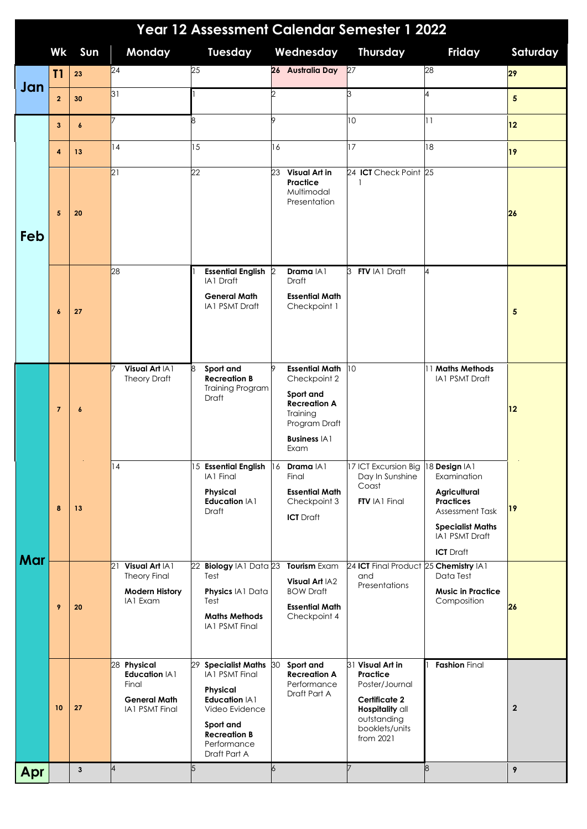| Year 12 Assessment Calendar Semester 1 2022 |                  |                  |                                                                                       |                                                                                                                                                                   |                                                                                                                                            |                                                                                                                                  |                                                                                                                                                             |                |  |  |
|---------------------------------------------|------------------|------------------|---------------------------------------------------------------------------------------|-------------------------------------------------------------------------------------------------------------------------------------------------------------------|--------------------------------------------------------------------------------------------------------------------------------------------|----------------------------------------------------------------------------------------------------------------------------------|-------------------------------------------------------------------------------------------------------------------------------------------------------------|----------------|--|--|
|                                             | Wk               | Sun              | Monday                                                                                | <b>Tuesday</b>                                                                                                                                                    | Wednesday                                                                                                                                  | <b>Thursday</b>                                                                                                                  | Friday                                                                                                                                                      | Saturday       |  |  |
| Jan                                         | T1               | 23               | $\overline{24}$                                                                       | 25                                                                                                                                                                | 26 Australia Day 27                                                                                                                        |                                                                                                                                  | 28                                                                                                                                                          | 29             |  |  |
|                                             | $\overline{2}$   | 30               | 31                                                                                    |                                                                                                                                                                   | ク                                                                                                                                          | 3                                                                                                                                | 4                                                                                                                                                           | 5              |  |  |
| Feb                                         | 3                | $\boldsymbol{6}$ |                                                                                       | 8                                                                                                                                                                 | <b>o</b>                                                                                                                                   | 10                                                                                                                               | 11                                                                                                                                                          | 12             |  |  |
|                                             | 4                | 13               | 14                                                                                    | 15                                                                                                                                                                | 16                                                                                                                                         | 17                                                                                                                               | 18                                                                                                                                                          | 19             |  |  |
|                                             | 5                | 20               | 21                                                                                    | 22                                                                                                                                                                | Visual Art in<br>23<br>Practice<br>Multimodal<br>Presentation                                                                              | 24 ICT Check Point 25<br>$\mathbf{1}$                                                                                            |                                                                                                                                                             | 26             |  |  |
|                                             | $\boldsymbol{6}$ | 27               | 28                                                                                    | <b>Essential English 2</b><br><b>IA1 Draft</b><br><b>General Math</b><br><b>IA1 PSMT Draft</b>                                                                    | Drama IA1<br>Draft<br><b>Essential Math</b><br>Checkpoint 1                                                                                | <b>FTV IA1 Draft</b><br>3                                                                                                        | $\overline{A}$                                                                                                                                              | 5              |  |  |
| Mar                                         | $\overline{7}$   | $\boldsymbol{6}$ | Visual Art IA1<br><b>Theory Draft</b>                                                 | 8<br>Sport and<br><b>Recreation B</b><br><b>Training Program</b><br>Draft                                                                                         | 9<br><b>Essential Math</b><br>Checkpoint 2<br>Sport and<br><b>Recreation A</b><br>Training<br>Program Draft<br><b>Business IA1</b><br>Exam | 10                                                                                                                               | 11 Maths Methods<br><b>IA1 PSMT Draft</b>                                                                                                                   | 12             |  |  |
|                                             | 8                | 13               | 14                                                                                    | 15 Essential English<br><b>IA1 Final</b><br>Physical<br>Education IA1<br>Draft                                                                                    | Drama   A  <br>$\vert$ 16<br>Final<br><b>Essential Math</b><br>Checkpoint 3<br><b>ICT</b> Draft                                            | 17 ICT Excursion Big<br>Day In Sunshine<br>Coast<br>FTV IA1 Final                                                                | 18 Design IA1<br>Examination<br>Agricultural<br><b>Practices</b><br>Assessment Task<br><b>Specialist Maths</b><br><b>IA1 PSMT Draft</b><br><b>ICT</b> Draft | 19             |  |  |
|                                             | 9                | 20               | Visual Art IA1<br>21<br><b>Theory Final</b><br><b>Modern History</b><br>IA1 Exam      | 22 Biology IA1 Data 23<br>Test<br>Physics IA1 Data<br>Test<br><b>Maths Methods</b><br><b>IA1 PSMT Final</b>                                                       | Tourism Exam<br><b>Visual Art IA2</b><br><b>BOW Draft</b><br><b>Essential Math</b><br>Checkpoint 4                                         | 24 ICT Final Product 25 Chemistry IA1<br>and<br>Presentations                                                                    | Data Test<br><b>Music in Practice</b><br>Composition                                                                                                        | 26             |  |  |
|                                             | 10               | 27               | 28 Physical<br>Education IA1<br>Final<br><b>General Math</b><br><b>IA1 PSMT Final</b> | 29 Specialist Maths 30<br><b>IA1 PSMT Final</b><br>Physical<br>Education IA1<br>Video Evidence<br>Sport and<br><b>Recreation B</b><br>Performance<br>Draft Part A | Sport and<br><b>Recreation A</b><br>Performance<br>Draft Part A                                                                            | 31 Visual Art in<br>Practice<br>Poster/Journal<br>Certificate 2<br>Hospitality all<br>outstanding<br>booklets/units<br>from 2021 | <b>Fashion</b> Final                                                                                                                                        | $\overline{2}$ |  |  |
| Apr                                         |                  | $\mathbf{3}$     | $\overline{A}$                                                                        | 5                                                                                                                                                                 | $\overline{6}$                                                                                                                             |                                                                                                                                  | 8                                                                                                                                                           | 9              |  |  |